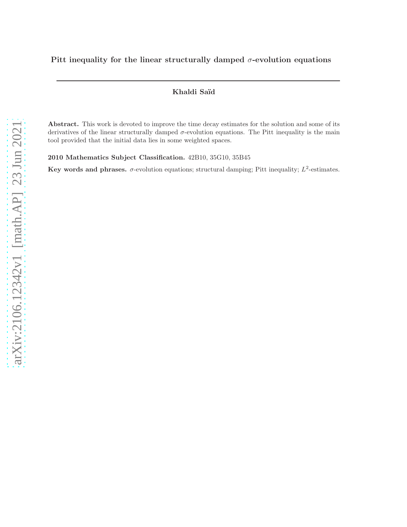### Khaldi Saïd

Abstract. This work is devoted to improve the time decay estimates for the solution and some of its derivatives of the linear structurally damped σ-evolution equations. The Pitt inequality is the main tool provided that the initial data lies in some weighted spaces.

2010 Mathematics Subject Classification. 42B10, 35G10, 35B45

Key words and phrases.  $\sigma$ -evolution equations; structural damping; Pitt inequality;  $L^2$ -estimates.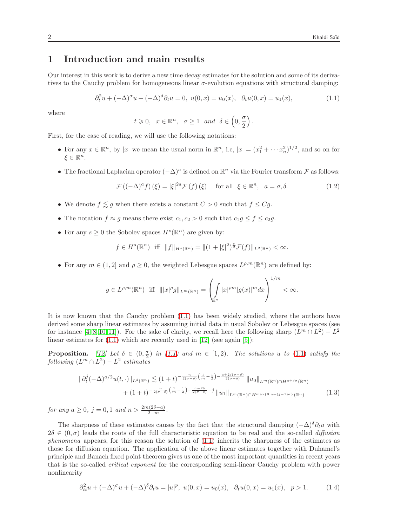# 1 Introduction and main results

Our interest in this work is to derive a new time decay estimates for the solution and some of its derivatives to the Cauchy problem for homogeneous linear  $\sigma$ -evolution equations with structural damping:

<span id="page-1-0"></span>
$$
\partial_t^2 u + (-\Delta)^\sigma u + (-\Delta)^\delta \partial_t u = 0, \ u(0, x) = u_0(x), \ \ \partial_t u(0, x) = u_1(x), \tag{1.1}
$$

where

$$
t \geq 0
$$
,  $x \in \mathbb{R}^n$ ,  $\sigma \geq 1$  and  $\delta \in \left(0, \frac{\sigma}{2}\right)$ .

First, for the ease of reading, we will use the following notations:

- For any  $x \in \mathbb{R}^n$ , by |x| we mean the usual norm in  $\mathbb{R}^n$ , i.e,  $|x| = (x_1^2 + \cdots x_n^2)^{1/2}$ , and so on for  $\xi \in \mathbb{R}^n$ .
- The fractional Laplacian operator  $(-\Delta)^a$  is defined on  $\mathbb{R}^n$  via the Fourier transform  $\mathcal F$  as follows:

<span id="page-1-1"></span>
$$
\mathcal{F}\left((-\Delta)^{a} f\right)(\xi) = |\xi|^{2a} \mathcal{F}\left(f\right)(\xi) \quad \text{ for all } \xi \in \mathbb{R}^{n}, \quad a = \sigma, \delta. \tag{1.2}
$$

- We denote  $f \lesssim g$  when there exists a constant  $C > 0$  such that  $f \leq Cg$ .
- The notation  $f \approx g$  means there exist  $c_1, c_2 > 0$  such that  $c_1 g \le f \le c_2 g$ .
- For any  $s \geq 0$  the Sobolev spaces  $H^s(\mathbb{R}^n)$  are given by:

$$
f \in H^s(\mathbb{R}^n)
$$
 iff  $||f||_{H^s(\mathbb{R}^n)} = ||(1 + |\xi|^2)^{\frac{s}{2}} \mathcal{F}(f)||_{L^2(\mathbb{R}^n)} < \infty.$ 

• For any  $m \in (1,2]$  and  $\rho \geq 0$ , the weighted Lebesgue spaces  $L^{\rho,m}(\mathbb{R}^n)$  are defined by:

$$
g \in L^{\rho,m}(\mathbb{R}^n) \quad \text{iff} \quad |||x|^{\rho}g||_{L^m(\mathbb{R}^n)} = \left(\int\limits_{\mathbb{R}^n} |x|^{\rho m} |g(x)|^m dx\right)^{1/m} < \infty.
$$

It is now known that the Cauchy problem [\(1.1\)](#page-1-0) has been widely studied, where the authors have derived some sharp linear estimates by assuming initial data in usual Sobolev or Lebesgue spaces (see for instance [\[4–](#page-6-0)[8,](#page-6-1) [10,](#page-6-2) [11\]](#page-6-3)). For the sake of clarity, we recall here the following sharp  $(L^m \cap L^2) - L^2$ linear estimates for  $(1.1)$  which are recently used in  $[12]$  (see again  $[5]$ ):

**Proposition.** [\[12\]](#page-6-4) Let  $\delta \in (0, \frac{\sigma}{2})$  in [\(1.1\)](#page-1-0) and  $m \in [1, 2)$ . The solutions u to [\(1.1\)](#page-1-0) satisfy the  $\emph{following}~(L^m \cap L^2) - L^2~\emph{estimates}$ 

$$
\|\partial_t^j (-\Delta)^{a/2} u(t, \cdot)\|_{L^2(\mathbb{R}^n)} \lesssim (1+t)^{-\frac{n}{2(\sigma-\delta)}\left(\frac{1}{m}-\frac{1}{2}\right)-\frac{a+2j(\sigma-\delta)}{2(\sigma-\delta)}} \|u_0\|_{L^m(\mathbb{R}^n)\cap H^{a+j\sigma}(\mathbb{R}^n)} + (1+t)^{-\frac{n}{2(\sigma-\delta)}\left(\frac{1}{m}-\frac{1}{2}\right)-\frac{a-2\delta}{2(\sigma-\delta)}-j} \|u_1\|_{L^m(\mathbb{R}^n)\cap H^{\max\{0, a+(j-1)\sigma\}}(\mathbb{R}^n)}
$$
(1.3)

for any  $a \ge 0$ ,  $j = 0, 1$  and  $n > \frac{2m(2\delta - a)}{2 - m}$ .

The sharpness of these estimates causes by the fact that the structural damping  $(-\Delta)^{\delta}\partial_t u$  with  $2\delta \in (0,\sigma)$  leads the roots of the full characteristic equation to be real and the so-called *diffusion* phenomena appears, for this reason the solution of  $(1.1)$  inherits the sharpness of the estimates as those for diffusion equation. The application of the above linear estimates together with Duhamel's principle and Banach fixed point theorem gives us one of the most important quantities in recent years that is the so-called critical exponent for the corresponding semi-linear Cauchy problem with power nonlinearity

$$
\partial_{tt}^{2}u + (-\Delta)^{\sigma}u + (-\Delta)^{\delta}\partial_{t}u = |u|^{p}, \ u(0,x) = u_{0}(x), \quad \partial_{t}u(0,x) = u_{1}(x), \quad p > 1. \tag{1.4}
$$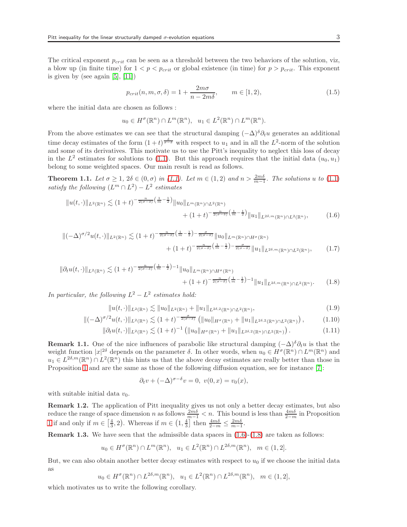The critical exponent  $p_{crit}$  can be seen as a threshold between the two behaviors of the solution, viz, a blow up (in finite time) for  $1 < p < p_{crit}$  or global existence (in time) for  $p > p_{crit}$ . This exponent is given by (see again  $[5]$ ,  $[11]$ )

$$
p_{crit}(n, m, \sigma, \delta) = 1 + \frac{2m\sigma}{n - 2m\delta}, \qquad m \in [1, 2), \tag{1.5}
$$

where the initial data are chosen as follows :

<span id="page-2-0"></span>
$$
u_0 \in H^{\sigma}(\mathbb{R}^n) \cap L^m(\mathbb{R}^n), \quad u_1 \in L^2(\mathbb{R}^n) \cap L^m(\mathbb{R}^n).
$$

From the above estimates we can see that the structural damping  $(-\Delta)^{\delta}\partial_t u$  generates an additional time decay estimates of the form  $(1+t)^{\frac{\delta}{\sigma-\delta}}$  with respect to  $u_1$  and in all the  $L^2$ -norm of the solution and some of its derivatives. This motivate us to use the Pitt's inequality to neglect this loss of decay in the  $L^2$  estimates for solutions to [\(1.1\)](#page-1-0). But this approach requires that the initial data  $(u_0, u_1)$ belong to some weighted spaces. Our main result is read as follows.

<span id="page-2-2"></span>**Theorem 1.1.** Let  $\sigma \geq 1$ ,  $2\delta \in (0, \sigma)$  in [\(1.1\)](#page-1-0). Let  $m \in (1, 2)$  and  $n > \frac{2m\delta}{m-1}$ . The solutions u to [\(1.1\)](#page-1-0) satisfy the following  $(L^m \cap L^2) - L^2$  estimates

$$
||u(t, \cdot)||_{L^{2}(\mathbb{R}^{n})} \lesssim (1+t)^{-\frac{n}{2(\sigma-\delta)}\left(\frac{1}{m}-\frac{1}{2}\right)}||u_{0}||_{L^{m}(\mathbb{R}^{n})\cap L^{2}(\mathbb{R}^{n})}\n+ (1+t)^{-\frac{n}{2(\sigma-\delta)}\left(\frac{1}{m}-\frac{1}{2}\right)}||u_{1}||_{L^{2\delta,m}(\mathbb{R}^{n})\cap L^{2}(\mathbb{R}^{n})},
$$
\n(1.6)

$$
\|(-\Delta)^{\sigma/2}u(t,\cdot)\|_{L^{2}(\mathbb{R}^{n})}\lesssim(1+t)^{-\frac{n}{2(\sigma-\delta)}\left(\frac{1}{m}-\frac{1}{2}\right)-\frac{\sigma}{2(\sigma-\delta)}}\|u_{0}\|_{L^{m}(\mathbb{R}^{n})\cap H^{\sigma}(\mathbb{R}^{n})}\n+ (1+t)^{-\frac{n}{2(\sigma-\delta)}\left(\frac{1}{m}-\frac{1}{2}\right)-\frac{\sigma}{2(\sigma-\delta)}}\|u_{1}\|_{L^{2\delta,m}(\mathbb{R}^{n})\cap L^{2}(\mathbb{R}^{n})},
$$
\n(1.7)

$$
\|\partial_t u(t,\cdot)\|_{L^2(\mathbb{R}^n)} \lesssim (1+t)^{-\frac{n}{2(\sigma-\delta)}\left(\frac{1}{m}-\frac{1}{2}\right)-1} \|u_0\|_{L^m(\mathbb{R}^n)\cap H^{\sigma}(\mathbb{R}^n)} + (1+t)^{-\frac{n}{2(\sigma-\delta)}\left(\frac{1}{m}-\frac{1}{2}\right)-1} \|u_1\|_{L^{2\delta,m}(\mathbb{R}^n)\cap L^2(\mathbb{R}^n)}.
$$
 (1.8)

In particular, the following  $L^2 - L^2$  estimates hold:

$$
||u(t, \cdot)||_{L^{2}(\mathbb{R}^{n})} \lesssim ||u_{0}||_{L^{2}(\mathbb{R}^{n})} + ||u_{1}||_{L^{2\delta, 2}(\mathbb{R}^{n}) \cap L^{2}(\mathbb{R}^{n})},
$$
\n(1.9)

$$
\|(-\Delta)^{\sigma/2}u(t,\cdot)\|_{L^{2}(\mathbb{R}^{n})}\lesssim (1+t)^{-\frac{\sigma}{2(\sigma-\delta)}}\left(\|u_{0}\|_{H^{\sigma}(\mathbb{R}^{n})}+\|u_{1}\|_{L^{2\delta,2}(\mathbb{R}^{n})\cap L^{2}(\mathbb{R}^{n})}\right),\qquad(1.10)
$$

$$
\|\partial_t u(t,\cdot)\|_{L^2(\mathbb{R}^n)} \lesssim (1+t)^{-1} \left( \|u_0\|_{H^{\sigma}(\mathbb{R}^n)} + \|u_1\|_{L^{2\delta,2}(\mathbb{R}^n)\cap L^2(\mathbb{R}^n)} \right). \tag{1.11}
$$

**Remark 1.1.** One of the nice influences of parabolic like structural damping  $(-\Delta)^{\delta}\partial_t u$  is that the weight function  $|x|^{2\delta}$  depends on the parameter  $\delta$ . In other words, when  $u_0 \in H^{\sigma}(\mathbb{R}^n) \cap L^m(\mathbb{R}^n)$  and  $u_1 \in L^{2\delta,m}(\mathbb{R}^n) \cap L^2(\mathbb{R}^n)$  this hints us that the above decay estimates are really better than those in Proposition [1](#page-1-1) and are the same as those of the following diffusion equation, see for instance [\[7\]](#page-6-6):

<span id="page-2-1"></span>
$$
\partial_t v + (-\Delta)^{\sigma - \delta} v = 0, \ v(0, x) = v_0(x),
$$

with suitable initial data  $v_0$ .

Remark 1.2. The application of Pitt inequality gives us not only a better decay estimates, but also reduce the range of space dimension n as follows  $\frac{2m\delta}{m-1} < n$ . This bound is less than  $\frac{4m\delta}{2-m}$  in Proposition [1](#page-1-1) if and only if  $m \in \left[\frac{4}{3}, 2\right)$ . Whereas if  $m \in \left(1, \frac{4}{3}\right]$  then  $\frac{4m\delta}{2-m} \leq \frac{2m\delta}{m-1}$ .

**Remark 1.3.** We have seen that the admissible data spaces in  $(1.6)-(1.8)$  $(1.6)-(1.8)$  are taken as follows:

$$
u_0 \in H^{\sigma}(\mathbb{R}^n) \cap L^m(\mathbb{R}^n), \quad u_1 \in L^2(\mathbb{R}^n) \cap L^{2\delta, m}(\mathbb{R}^n), \quad m \in (1, 2].
$$

But, we can also obtain another better decay estimates with respect to  $u_0$  if we choose the initial data as

$$
u_0 \in H^{\sigma}(\mathbb{R}^n) \cap L^{2\delta,m}(\mathbb{R}^n), \ \ u_1 \in L^2(\mathbb{R}^n) \cap L^{2\delta,m}(\mathbb{R}^n), \ \ m \in (1,2],
$$

which motivates us to write the following corollary.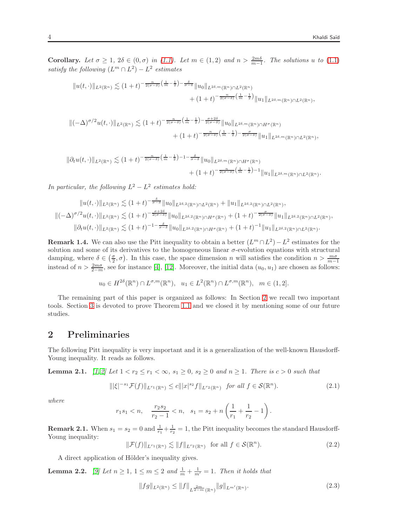**Corollary.** Let  $\sigma \geq 1$ ,  $2\delta \in (0, \sigma)$  in [\(1.1\)](#page-1-0). Let  $m \in (1, 2)$  and  $n > \frac{2m\delta}{m-1}$ . The solutions u to [\(1.1\)](#page-1-0) satisfy the following  $(L^m \cap L^2) - L^2$  estimates

$$
||u(t,\cdot)||_{L^2(\mathbb{R}^n)} \lesssim (1+t)^{-\frac{n}{2(\sigma-\delta)}\left(\frac{1}{m}-\frac{1}{2}\right)-\frac{\delta}{\sigma-\delta}}||u_0||_{L^{2\delta,m}(\mathbb{R}^n)\cap L^2(\mathbb{R}^n)} + (1+t)^{-\frac{n}{2(\sigma-\delta)}\left(\frac{1}{m}-\frac{1}{2}\right)}||u_1||_{L^{2\delta,m}(\mathbb{R}^n)\cap L^2(\mathbb{R}^n)},
$$

$$
\|(-\Delta)^{\sigma/2}u(t,\cdot)\|_{L^{2}(\mathbb{R}^{n})}\lesssim(1+t)^{-\frac{n}{2(\sigma-\delta)}\left(\frac{1}{m}-\frac{1}{2}\right)-\frac{\sigma+2\delta}{2(\sigma-\delta)}}\|u_{0}\|_{L^{2\delta,m}(\mathbb{R}^{n})\cap H^{\sigma}(\mathbb{R}^{n})}\n+ (1+t)^{-\frac{n}{2(\sigma-\delta)}\left(\frac{1}{m}-\frac{1}{2}\right)-\frac{\sigma}{2(\sigma-\delta)}}\|u_{1}\|_{L^{2\delta,m}(\mathbb{R}^{n})\cap L^{2}(\mathbb{R}^{n})},
$$

$$
\|\partial_t u(t,\cdot)\|_{L^2(\mathbb{R}^n)} \lesssim (1+t)^{-\frac{n}{2(\sigma-\delta)}\left(\frac{1}{m}-\frac{1}{2}\right)-1-\frac{\delta}{\sigma-\delta}} \|u_0\|_{L^{2\delta,m}(\mathbb{R}^n)\cap H^{\sigma}(\mathbb{R}^n)} + (1+t)^{-\frac{n}{2(\sigma-\delta)}\left(\frac{1}{m}-\frac{1}{2}\right)-1} \|u_1\|_{L^{2\delta,m}(\mathbb{R}^n)\cap L^2(\mathbb{R}^n)}.
$$

In particular, the following  $L^2 - L^2$  estimates hold:

$$
||u(t, \cdot)||_{L^{2}(\mathbb{R}^{n})} \lesssim (1+t)^{-\frac{\delta}{\sigma-\delta}}||u_{0}||_{L^{2\delta,2}(\mathbb{R}^{n})\cap L^{2}(\mathbb{R}^{n})} + ||u_{1}||_{L^{2\delta,2}(\mathbb{R}^{n})\cap L^{2}(\mathbb{R}^{n})},
$$
  

$$
||(-\Delta)^{\sigma/2}u(t, \cdot)||_{L^{2}(\mathbb{R}^{n})} \lesssim (1+t)^{-\frac{\sigma+2\delta}{2(\sigma-\delta)}}||u_{0}||_{L^{2\delta,2}(\mathbb{R}^{n})\cap H^{\sigma}(\mathbb{R}^{n})} + (1+t)^{-\frac{\sigma}{2(\sigma-\delta)}}||u_{1}||_{L^{2\delta,2}(\mathbb{R}^{n})\cap L^{2}(\mathbb{R}^{n})},
$$
  

$$
||\partial_{t}u(t, \cdot)||_{L^{2}(\mathbb{R}^{n})} \lesssim (1+t)^{-1-\frac{\delta}{\sigma-\delta}}||u_{0}||_{L^{2\delta,2}(\mathbb{R}^{n})\cap H^{\sigma}(\mathbb{R}^{n})} + (1+t)^{-1}||u_{1}||_{L^{2\delta,2}(\mathbb{R}^{n})\cap L^{2}(\mathbb{R}^{n})}.
$$

**Remark 1.4.** We can also use the Pitt inequality to obtain a better  $(L^m \cap L^2) - L^2$  estimates for the solution and some of its derivatives to the homogeneous linear  $\sigma$ -evolution equations with structural damping, where  $\delta \in (\frac{\sigma}{2}, \sigma)$ . In this case, the space dimension n will satisfies the condition  $n > \frac{m\sigma}{m-1}$ instead of  $n > \frac{2m\sigma}{2-m}$ , see for instance [\[4\]](#page-6-0), [\[12\]](#page-6-4). Moreover, the initial data  $(u_0, u_1)$  are chosen as follows:

$$
u_0 \in H^{2\delta}(\mathbb{R}^n) \cap L^{\sigma,m}(\mathbb{R}^n), \quad u_1 \in L^2(\mathbb{R}^n) \cap L^{\sigma,m}(\mathbb{R}^n), \quad m \in (1,2].
$$

The remaining part of this paper is organized as follows: In Section [2](#page-3-0) we recall two important tools. Section [3](#page-4-0) is devoted to prove Theorem [1.1](#page-2-2) and we closed it by mentioning some of our future studies.

## <span id="page-3-0"></span>2 Preliminaries

The following Pitt inequality is very important and it is a generalization of the well-known Hausdorff-Young inequality. It reads as follows.

**Lemma 2.1.**  $\left[1, 2\right]$  $\left[1, 2\right]$  $\left[1, 2\right]$  Let  $1 < r_2 \leq r_1 < \infty$ ,  $s_1 \geq 0$ ,  $s_2 \geq 0$  and  $n \geq 1$ . There is  $c > 0$  such that

$$
|\xi|^{-s_1} \mathcal{F}(f) \|_{L^{r_1}(\mathbb{R}^n)} \le c \| |x|^{s_2} f \|_{L^{r_2}(\mathbb{R}^n)} \quad \text{for all } f \in \mathcal{S}(\mathbb{R}^n). \tag{2.1}
$$

where

$$
r_1s_1 < n
$$
,  $\frac{r_2s_2}{r_2-1} < n$ ,  $s_1 = s_2 + n\left(\frac{1}{r_1} + \frac{1}{r_2} - 1\right)$ .

**Remark 2.1.** When  $s_1 = s_2 = 0$  and  $\frac{1}{r_1} + \frac{1}{r_2} = 1$ , the Pitt inequality becomes the standard Hausdorff-Young inequality:

<span id="page-3-1"></span> $\|\mathcal{F}(f)\|_{L^{r_1}(\mathbb{R}^n)} \lesssim \|f\|_{L^{r_2}(\mathbb{R}^n)}$  for all  $f \in \mathcal{S}(\mathbb{R}^n)$  $(2.2)$ 

A direct application of Hölder's inequality gives.

 $\|$ 

**Lemma 2.2.** [\[9\]](#page-6-9) Let  $n \geq 1$ ,  $1 \leq m \leq 2$  and  $\frac{1}{m} + \frac{1}{m'} = 1$ . Then it holds that

$$
||fg||_{L^{2}(\mathbb{R}^{n})} \leq ||f||_{L^{\frac{2m}{2-m}}(\mathbb{R}^{n})} ||g||_{L^{m'}(\mathbb{R}^{n})}.
$$
\n(2.3)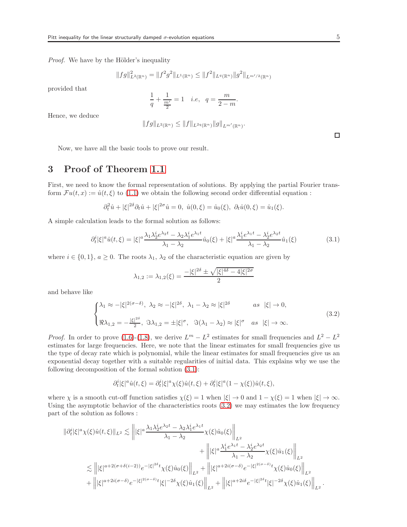Proof. We have by the Hölder's inequality

$$
||fg||_{L^{2}(\mathbb{R}^{n})}^{2} = ||f^{2}g^{2}||_{L^{1}(\mathbb{R}^{n})} \leq ||f^{2}||_{L^{q}(\mathbb{R}^{n})}||g^{2}||_{L^{m'/2}(\mathbb{R}^{n})}
$$

provided that

$$
\frac{1}{q} + \frac{1}{\frac{m'}{2}} = 1 \quad i.e, \quad q = \frac{m}{2 - m}.
$$

Hence, we deduce

$$
||fg||_{L^2(\mathbb{R}^n)} \leq ||f||_{L^{2q}(\mathbb{R}^n)} ||g||_{L^{m'}(\mathbb{R}^n)}.
$$

Now, we have all the basic tools to prove our result.

# <span id="page-4-0"></span>3 Proof of Theorem [1.1](#page-2-2)

First, we need to know the formal representation of solutions. By applying the partial Fourier transform  $Fu(t, x) := \hat{u}(t, \xi)$  to [\(1.1\)](#page-1-0) we obtain the following second order differential equation :

$$
\partial_t^2 \hat{u} + |\xi|^{2\delta} \partial_t \hat{u} + |\xi|^{2\sigma} \hat{u} = 0, \ \hat{u}(0,\xi) = \hat{u}_0(\xi), \ \partial_t \hat{u}(0,\xi) = \hat{u}_1(\xi).
$$

A simple calculation leads to the formal solution as follows:

<span id="page-4-1"></span>
$$
\partial_t^i |\xi|^a \hat{u}(t,\xi) = |\xi|^a \frac{\lambda_1 \lambda_2^i e^{\lambda_2 t} - \lambda_2 \lambda_1^i e^{\lambda_1 t}}{\lambda_1 - \lambda_2} \hat{u}_0(\xi) + |\xi|^a \frac{\lambda_1^i e^{\lambda_1 t} - \lambda_2^i e^{\lambda_2 t}}{\lambda_1 - \lambda_2} \hat{u}_1(\xi)
$$
(3.1)

where  $i \in \{0,1\}$ ,  $a \ge 0$ . The roots  $\lambda_1$ ,  $\lambda_2$  of the characteristic equation are given by

$$
\lambda_{1,2} := \lambda_{1,2}(\xi) = \frac{-|\xi|^{2\delta} \pm \sqrt{|\xi|^{4\delta} - 4|\xi|^{2\sigma}}}{2}
$$

and behave like

<span id="page-4-2"></span>
$$
\begin{cases} \lambda_1 \approx -|\xi|^{2(\sigma-\delta)}, \ \lambda_2 \approx -|\xi|^{2\delta}, \ \lambda_1 - \lambda_2 \approx |\xi|^{2\delta} & \text{as } |\xi| \to 0, \\ \Re \lambda_{1,2} = -\frac{|\xi|^{2\delta}}{2}, \ \Im \lambda_{1,2} = \pm |\xi|^{\sigma}, \ \Im(\lambda_1 - \lambda_2) \approx |\xi|^{\sigma} & \text{as } |\xi| \to \infty. \end{cases}
$$
\n(3.2)

*Proof.* In order to prove [\(1.6\)](#page-2-0)-[\(1.8\)](#page-2-1), we derive  $L^m - L^2$  estimates for small frequencies and  $L^2 - L^2$ estimates for large frequencies. Here, we note that the linear estimates for small frequencies give us the type of decay rate which is polynomial, while the linear estimates for small frequencies give us an exponential decay together with a suitable regularities of initial data. This explains why we use the following decomposition of the formal solution [\(3.1\)](#page-4-1):

$$
\partial_t^i |\xi|^a \hat{u}(t,\xi) = \partial_t^i |\xi|^a \chi(\xi) \hat{u}(t,\xi) + \partial_t^i |\xi|^a (1 - \chi(\xi)) \hat{u}(t,\xi),
$$

where  $\chi$  is a smooth cut-off function satisfies  $\chi(\xi) = 1$  when  $|\xi| \to 0$  and  $1 - \chi(\xi) = 1$  when  $|\xi| \to \infty$ . Using the asymptotic behavior of the characteristics roots [\(3.2\)](#page-4-2) we may estimates the low frequency part of the solution as follows :

$$
\begin{split} \|\partial_t^i |\xi|^a \chi(\xi) \hat{u}(t,\xi) \|_{L^2} &\lesssim \left\| |\xi|^a \frac{\lambda_1 \lambda_2^i e^{\lambda_2 t} - \lambda_2 \lambda_1^i e^{\lambda_1 t}}{\lambda_1 - \lambda_2} \chi(\xi) \hat{u}_0(\xi) \right\|_{L^2} \\ &\qquad \qquad + \left\| |\xi|^a \frac{\lambda_1^i e^{\lambda_1 t} - \lambda_2^i e^{\lambda_2 t}}{\lambda_1 - \lambda_2} \chi(\xi) \hat{u}_1(\xi) \right\|_{L^2} \\ &\lesssim \left\| |\xi|^{a + 2(\sigma + \delta(i-2))} e^{-|\xi|^{2\delta} t} \chi(\xi) \hat{u}_0(\xi) \right\|_{L^2} + \left\| |\xi|^{a + 2i(\sigma - \delta)} e^{-|\xi|^{2(\sigma - \delta)} t} \chi(\xi) \hat{u}_0(\xi) \right\|_{L^2} \\ &\qquad \qquad + \left\| |\xi|^{a + 2i(\sigma - \delta)} e^{-|\xi|^{2(\sigma - \delta)} t} |\xi|^{-2\delta} \chi(\xi) \hat{u}_1(\xi) \right\|_{L^2} + \left\| |\xi|^{a + 2i\delta} e^{-|\xi|^{2\delta} t} |\xi|^{-2\delta} \chi(\xi) \hat{u}_1(\xi) \right\|_{L^2} . \end{split}
$$

 $\Box$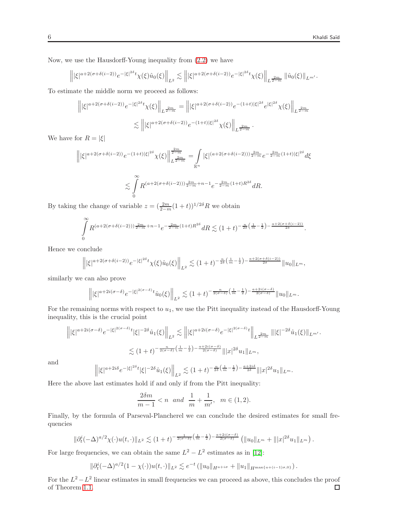Now, we use the Hausdorff-Young inequality from [\(2.2\)](#page-3-1) we have

$$
\left\||\xi|^{a+2(\sigma+\delta(i-2))}e^{-|\xi|^{2\delta}t}\chi(\xi)\hat{u}_0(\xi)\right\|_{L^2}\lesssim \left\||\xi|^{a+2(\sigma+\delta(i-2))}e^{-|\xi|^{2\delta}t}\chi(\xi)\right\|_{L^{\frac{2m}{2-m}}}\left\|\hat{u}_0(\xi)\right\|_{L^{m'}}.
$$

To estimate the middle norm we proceed as follows:

$$
\left\| |\xi|^{a+2(\sigma+\delta(i-2))} e^{-|\xi|^{2\delta}t} \chi(\xi) \right\|_{L^{\frac{2m}{2-m}}} = \left\| |\xi|^{a+2(\sigma+\delta(i-2))} e^{-(1+t)|\xi|^{2\delta}} e^{|\xi|^{2\delta}} \chi(\xi) \right\|_{L^{\frac{2m}{2-m}}}.
$$
  

$$
\lesssim \left\| |\xi|^{a+2(\sigma+\delta(i-2))} e^{-(1+t)|\xi|^{2\delta}} \chi(\xi) \right\|_{L^{\frac{2m}{2-m}}}.
$$

We have for  $R = |\xi|$ 

$$
\left\| |\xi|^{a+2(\sigma+\delta(i-2))} e^{-(1+t)|\xi|^{2\delta}} \chi(\xi) \right\|_{L^{\frac{2m}{2-m}}}^{\frac{2m}{2-m}} = \int\limits_{\mathbb{R}^n} |\xi|^{(a+2(\sigma+\delta(i-2)))\frac{2m}{2-m}} e^{-\frac{2m}{2-m}(1+t)|\xi|^{2\delta}} d\xi
$$
  

$$
\lesssim \int\limits_0^\infty R^{(a+2(\sigma+\delta(i-2)))\frac{2m}{2-m}+n-1} e^{-\frac{2m}{2-m}(1+t)R^{2\delta}} dR.
$$

By taking the change of variable  $z = (\frac{2m}{2-m}(1+t))^{1/2\delta}R$  we obtain

$$
\int_{0}^{\infty} R^{(a+2(\sigma+\delta(i-2)))\frac{2m}{2-m}+n-1} e^{-\frac{2m}{2-m}(1+t)R^{2\delta}} dR \lesssim (1+t)^{-\frac{n}{2\delta}\left(\frac{1}{m}-\frac{1}{2}\right)-\frac{a+2(\sigma+\delta(i-2))}{2\delta}}.
$$

Hence we conclude

$$
\left\| |\xi|^{a+2(\sigma+\delta(i-2))} e^{-|\xi|^{2\delta}t} \chi(\xi) \hat{u}_0(\xi) \right\|_{L^2} \lesssim (1+t)^{-\frac{n}{2\delta} \left( \frac{1}{m} - \frac{1}{2} \right) - \frac{a+2(\sigma+\delta(i-2))}{2\delta}} \|u_0\|_{L^m},
$$

similarly we can also prove

$$
\left\||\xi|^{a+2i(\sigma-\delta)}e^{-|\xi|^{2(\sigma-\delta)}t}\hat{u}_0(\xi)\right\|_{L^2}\lesssim (1+t)^{-\frac{n}{2(\sigma-\delta)}\left(\frac{1}{m}-\frac{1}{2}\right)-\frac{a+2i(\sigma-\delta)}{2(\sigma-\delta)}}\|u_0\|_{L^m}.
$$

For the remaining norms with respect to  $u_1$ , we use the Pitt inequality instead of the Hausdorff-Young inequality, this is the crucial point

$$
\left\| |\xi|^{a+2i(\sigma-\delta)} e^{-|\xi|^{2(\sigma-\delta)}t} |\xi|^{-2\delta} \hat{u}_1(\xi) \right\|_{L^2} \lesssim \left\| |\xi|^{a+2i(\sigma-\delta)} e^{-|\xi|^{2(\sigma-\delta)}t} \right\|_{L^{\frac{2m}{2-m}}} \|\xi|^{-2\delta} \hat{u}_1(\xi) \|_{L^{m'}}.
$$
  

$$
\lesssim (1+t)^{-\frac{n}{2(\sigma-\delta)}\left(\frac{1}{m}-\frac{1}{2}\right)-\frac{a+2i(\sigma-\delta)}{2(\sigma-\delta)}} \| |x|^{2\delta} u_1 \|_{L^m},
$$

and

$$
\left\||\xi|^{a+2i\delta}e^{-|\xi|^{2\delta}t}|\xi|^{-2\delta}\hat{u}_1(\xi)\right\|_{L^2}\lesssim (1+t)^{-\frac{n}{2\delta}\left(\frac{1}{m}-\frac{1}{2}\right)-\frac{a+2i\delta}{2\delta}}\||x|^{2\delta}u_1\|_{L^m}.
$$

Here the above last estimates hold if and only if from the Pitt inequality:

$$
\frac{2\delta m}{m-1} < n \ \text{and} \ \frac{1}{m} + \frac{1}{m'}, \ \ m \in (1, 2).
$$

Finally, by the formula of Parseval-Plancherel we can conclude the desired estimates for small frequencies

$$
\|\partial_t^i (-\Delta)^{a/2} \chi(\cdot) u(t, \cdot)\|_{L^2} \lesssim (1+t)^{-\frac{1}{2(\sigma-\delta)}\left(\frac{1}{m}-\frac{1}{2}\right)-\frac{a+2i(\sigma-\delta)}{2(\sigma-\delta)}} \left(\|u_0\|_{L^m} + \| |x|^{2\delta} u_1\|_{L^m}\right).
$$

For large frequencies, we can obtain the same  $L^2 - L^2$  estimates as in [\[12\]](#page-6-4):

$$
\|\partial_t^i (-\Delta)^{a/2} (1-\chi(\cdot))u(t,\cdot)\|_{L^2} \lesssim e^{-t} \left( \|u_0\|_{H^{a+i\sigma}} + \|u_1\|_{H^{\max\{a+(i-1)\sigma,0\}}} \right).
$$

For the  $L^2 - L^2$  linear estimates in small frequencies we can proceed as above, this concludes the proof of Theorem [1.1.](#page-2-2) $\Box$